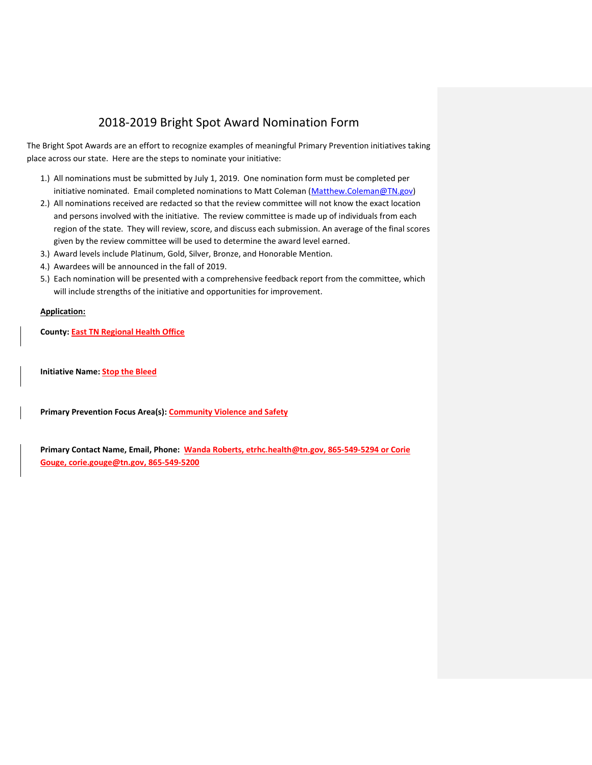## 2018-2019 Bright Spot Award Nomination Form

The Bright Spot Awards are an effort to recognize examples of meaningful Primary Prevention initiatives taking place across our state. Here are the steps to nominate your initiative:

- 1.) All nominations must be submitted by July 1, 2019. One nomination form must be completed per initiative nominated. Email completed nominations to Matt Coleman [\(Matthew.Coleman@TN.gov\)](mailto:Matthew.Coleman@TN.gov)
- 2.) All nominations received are redacted so that the review committee will not know the exact location and persons involved with the initiative. The review committee is made up of individuals from each region of the state. They will review, score, and discuss each submission. An average of the final scores given by the review committee will be used to determine the award level earned.
- 3.) Award levels include Platinum, Gold, Silver, Bronze, and Honorable Mention.
- 4.) Awardees will be announced in the fall of 2019.
- 5.) Each nomination will be presented with a comprehensive feedback report from the committee, which will include strengths of the initiative and opportunities for improvement.

## **Application:**

**County: East TN Regional Health Office**

**Initiative Name: Stop the Bleed** 

**Primary Prevention Focus Area(s): Community Violence and Safety** 

**Primary Contact Name, Email, Phone: Wanda Roberts, [etrhc.health@tn.gov,](mailto:etrhc.health@tn.gov) 865-549-5294 or Corie Gouge[, corie.gouge@tn.gov,](mailto:corie.gouge@tn.gov) 865-549-5200**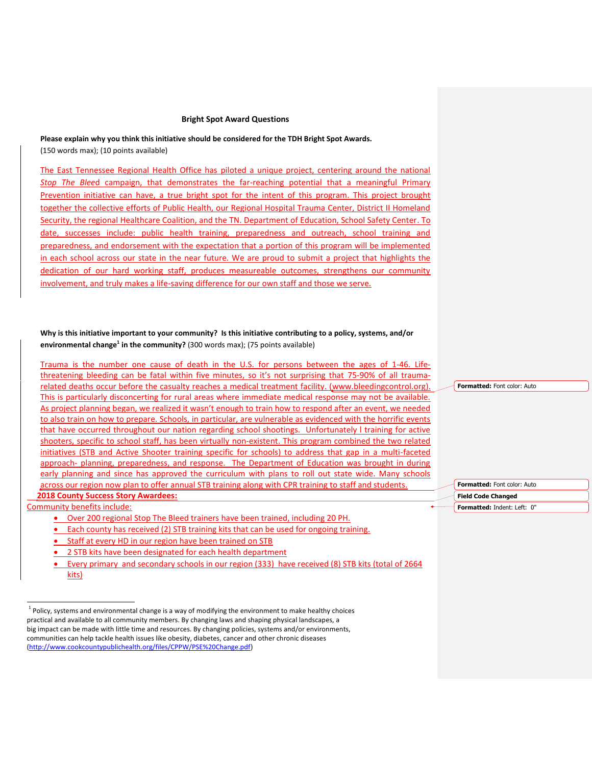## **Bright Spot Award Questions**

**Please explain why you think this initiative should be considered for the TDH Bright Spot Awards.** (150 words max); (10 points available)

The East Tennessee Regional Health Office has piloted a unique project, centering around the national *Stop The Blee*d campaign, that demonstrates the far-reaching potential that a meaningful Primary Prevention initiative can have, a true bright spot for the intent of this program. This project brought together the collective efforts of Public Health, our Regional Hospital Trauma Center, District II Homeland Security, the regional Healthcare Coalition, and the TN. Department of Education, School Safety Center. To date, successes include: public health training, preparedness and outreach, school training and preparedness, and endorsement with the expectation that a portion of this program will be implemented in each school across our state in the near future. We are proud to submit a project that highlights the dedication of our hard working staff, produces measureable outcomes, strengthens our community involvement, and truly makes a life-saving difference for our own staff and those we serve.

## **Why is this initiative important to your community? Is this initiative contributing to a policy, systems, and/or environmental change<sup>1</sup> in the community?** (300 words max); (75 points available)

Trauma is the number one cause of death in the U.S. for persons between the ages of 1-46. Lifethreatening bleeding can be fatal within five minutes, so it's not surprising that 75-90% of all traumarelated deaths occur before the casualty reaches a medical treatment facility. [\(www.bleedingcontrol.org\)](http://www.bleedingcontrol.org/). This is particularly disconcerting for rural areas where immediate medical response may not be available. As project planning began, we realized it wasn't enough to train how to respond after an event, we needed to also train on how to prepare. Schools, in particular, are vulnerable as evidenced with the horrific events that have occurred throughout our nation regarding school shootings. Unfortunately l training for active shooters, specific to school staff, has been virtually non-existent. This program combined the two related initiatives (STB and Active Shooter training specific for schools) to address that gap in a multi-faceted approach- planning, preparedness, and response. The Department of Education was brought in during early planning and since has approved the curriculum with plans to roll out state wide. Many schools across our region now plan to offer annual STB training along with CPR training to staff and students. **[2018 County Success Story Awardees:](https://www.tncounties.org/Public/Events/TCSA_County_Success_Stories/Public/County_Success_Stories.aspx?hkey=987b95f5-a3d1-4830-908f-9181a9366125)**

Community benefits include:

- Over 200 regional Stop The Bleed trainers have been trained, including 20 PH.
- Each county has received (2) STB training kits that can be used for ongoing training.
- Staff at every HD in our region have been trained on STB
- 2 STB kits have been designated for each health department

 Every primary and secondary schools in our region (333) have received (8) STB kits (total of 2664 kits)

**Formatted:** Font color: Auto

**Formatted:** Font color: Auto **Field Code Changed Formatted:** Indent: Left: 0"

 1 Policy, systems and environmental change is a way of modifying the environment to make healthy choices practical and available to all community members. By changing laws and shaping physical landscapes, a big impact can be made with little time and resources. By changing policies, systems and/or environments, communities can help tackle health issues like obesity, diabetes, cancer and other chronic diseases [\(http://www.cookcountypublichealth.org/files/CPPW/PSE%20Change.pdf\)](http://www.cookcountypublichealth.org/files/CPPW/PSE%20Change.pdf)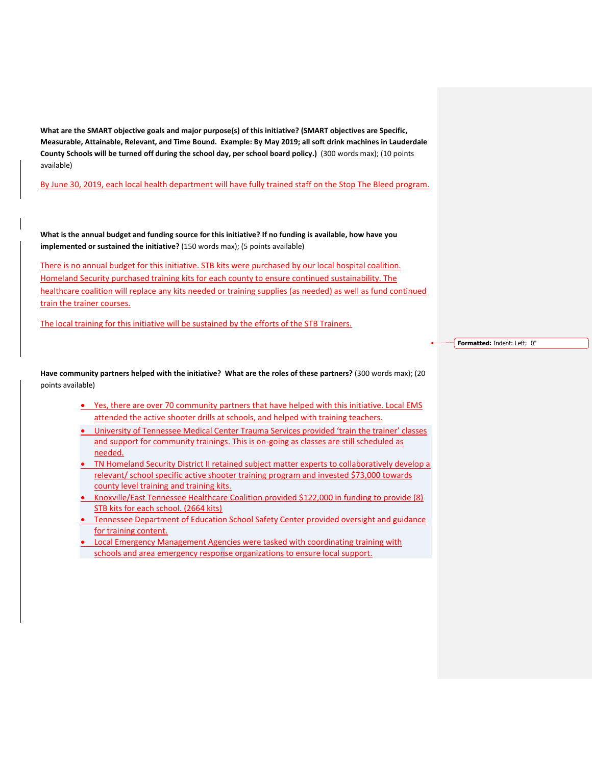**What are the SMART objective goals and major purpose(s) of this initiative? (SMART objectives are Specific, Measurable, Attainable, Relevant, and Time Bound. Example: By May 2019; all soft drink machines in Lauderdale County Schools will be turned off during the school day, per school board policy.)** (300 words max); (10 points available)

By June 30, 2019, each local health department will have fully trained staff on the Stop The Bleed program.

**What is the annual budget and funding source for this initiative? If no funding is available, how have you implemented or sustained the initiative?** (150 words max); (5 points available)

There is no annual budget for this initiative. STB kits were purchased by our local hospital coalition. Homeland Security purchased training kits for each county to ensure continued sustainability. The healthcare coalition will replace any kits needed or training supplies (as needed) as well as fund continued train the trainer courses.

The local training for this initiative will be sustained by the efforts of the STB Trainers.

**Formatted:** Indent: Left: 0"

**Have community partners helped with the initiative? What are the roles of these partners?** (300 words max); (20 points available)

- Yes, there are over 70 community partners that have helped with this initiative. Local EMS attended the active shooter drills at schools, and helped with training teachers.
- University of Tennessee Medical Center Trauma Services provided 'train the trainer' classes and support for community trainings. This is on-going as classes are still scheduled as needed.
- TN Homeland Security District II retained subject matter experts to collaboratively develop a relevant/ school specific active shooter training program and invested \$73,000 towards county level training and training kits.
- Knoxville/East Tennessee Healthcare Coalition provided \$122,000 in funding to provide (8) STB kits for each school. (2664 kits)
- Tennessee Department of Education School Safety Center provided oversight and guidance for training content.
- **Local Emergency Management Agencies were tasked with coordinating training with** schools and area emergency response organizations to ensure local support.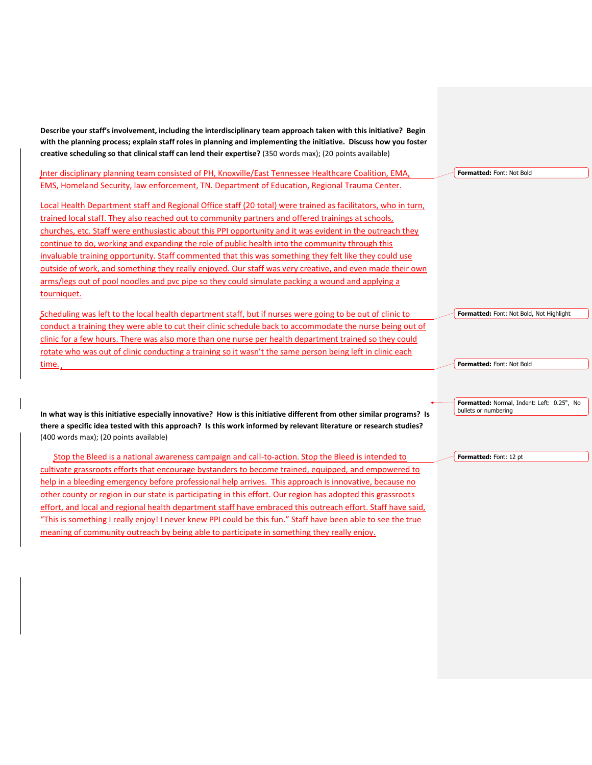**Describe your staff's involvement, including the interdisciplinary team approach taken with this initiative? Begin with the planning process; explain staff roles in planning and implementing the initiative. Discuss how you foster creative scheduling so that clinical staff can lend their expertise?** (350 words max); (20 points available)

Inter disciplinary planning team consisted of PH, Knoxville/East Tennessee Healthcare Coalition, EMA, EMS, Homeland Security, law enforcement, TN. Department of Education, Regional Trauma Center.

Local Health Department staff and Regional Office staff (20 total) were trained as facilitators, who in turn, trained local staff. They also reached out to community partners and offered trainings at schools, churches, etc. Staff were enthusiastic about this PPI opportunity and it was evident in the outreach they continue to do, working and expanding the role of public health into the community through this invaluable training opportunity. Staff commented that this was something they felt like they could use outside of work, and something they really enjoyed. Our staff was very creative, and even made their own arms/legs out of pool noodles and pvc pipe so they could simulate packing a wound and applying a tourniquet.

Scheduling was left to the local health department staff, but if nurses were going to be out of clinic to conduct a training they were able to cut their clinic schedule back to accommodate the nurse being out of clinic for a few hours. There was also more than one nurse per health department trained so they could rotate who was out of clinic conducting a training so it wasn't the same person being left in clinic each time.

**In what way is this initiative especially innovative? How is this initiative different from other similar programs? Is there a specific idea tested with this approach? Is this work informed by relevant literature or research studies?**  (400 words max); (20 points available)

Stop the Bleed is a national awareness campaign and call-to-action. Stop the Bleed is intended to cultivate grassroots efforts that encourage bystanders to become trained, equipped, and empowered to help in a bleeding emergency before professional help arrives. This approach is innovative, because no other county or region in our state is participating in this effort. Our region has adopted this grassroots effort, and local and regional health department staff have embraced this outreach effort. Staff have said, "This is something I really enjoy! I never knew PPI could be this fun." Staff have been able to see the true meaning of community outreach by being able to participate in something they really enjoy.

**Formatted:** Font: Not Bold

**Formatted:** Font: Not Bold, Not Highlight

**Formatted:** Font: Not Bold

**Formatted:** Normal, Indent: Left: 0.25", No bullets or numbering

**Formatted:** Font: 12 pt